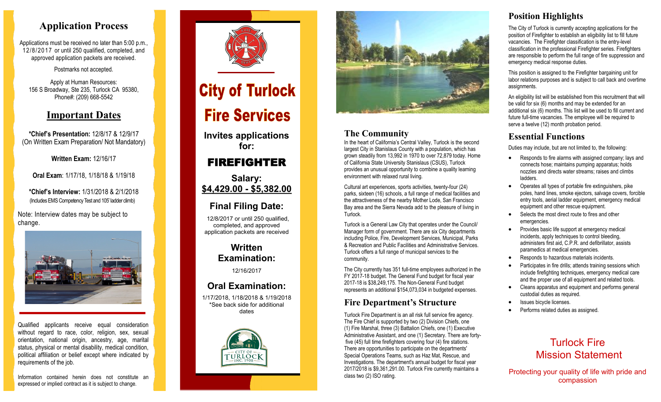# **Application Process**

Applications must be received no later than 5:00 p.m., 12/8/2017 or until 250 qualified, completed, and approved application packets are received.

Postmarks not accepted.

Apply at Human Resources: 156 S Broadway, Ste 235, Turlock CA 95380, Phone#: (209) 668 -5542

# **Important Dates**

**\*Chief's Presentation:** 12/8/17 & 12/9/17 (On Written Exam Preparation/ Not Mandatory)

**Written Exam:** 12/16/17

**Oral Exam**: 1/17/18, 1/18/18 & 1/19/18

**\*Chief's Interview:** 1/31/2018 & 2/1/2018 (Includes EMS Competency Test and 105' ladder climb) **0**

Note: Interview dates may be subject to change.



Qualified applicants receive equal consideration without regard to race, color, religion, sex, sexual orientation, national origin, ancestry, age, marital status, physical or mental disability, medical condition, political affiliation or belief except where indicated by requirements of the job.

Information contained herein does not constitute an expressed or implied contract as it is subject to change.



# **City of Turlock Fire Services**

**Invites applications for:**

# FIREFIGHTER

**Salary: \$4,429.00 - \$5,382.00**

# **Final Filing Date:**

12/8/2017 or until 250 qualified, completed, and approved application packets are received

> **Written Examination:**

> > 12/16/2017

# **Oral Examination:**

1/17/2018, 1/18/2018 & 1/19/2018 \*See back side for additional dates





### **The Community**

In the heart of California's Central Valley, Turlock is the second largest City in Stanislaus County with a population, which has grown steadily from 13,992 in 1970 to over 72,879 today. Home of California State University Stanislaus (CSUS), Turlock provides an unusual opportunity to combine a quality learning environment with relaxed rural living.

Cultural art experiences, sports activities, twenty -four (24) parks, sixteen (16) schools, a full range of medical facilities and the attractiveness of the nearby Mother Lode, San Francisco Bay area and the Sierra Nevada add to the pleasure of living in Turlock.

Turlock is a General Law City that operates under the Council/ Manager form of government. There are six City departments including Police, Fire, Development Services, Municipal, Parks & Recreation and Public Facilities and Administrative Services. Turlock offers a full range of municipal services to the community.

The City currently has 351 full -time employees authorized in the FY 2017 -18 budget. The General Fund budget for fiscal year 2017 -18 is \$38,249,175. The Non -General Fund budget represents an additional \$154,073,034 in budgeted expenses.

# **Fire Department's Structure**

Turlock Fire Department is an all risk full service fire agency. The Fire Chief is supported by two (2) Division Chiefs, one (1) Fire Marshal, three (3) Battalion Chiefs, one (1) Executive Administrative Assistant, and one (1) Secretary. There are forty five (45) full time firefighters covering four (4) fire stations. There are opportunities to participate on the departments' Special Operations Teams, such as Haz Mat, Rescue, and Investigations. The department's annual budget for fiscal year 2017/2018 is \$9,361,291.00. Turlock Fire currently maintains a class two (2) ISO rating.

# **Position Highlights**

The City of Turlock is currently accepting applications for the position of Firefighter to establish an eligibility list to fill future vacancies. The Firefighter classification is the entry -level classification in the professional Firefighter series. Firefighters are responsible to perform the full range of fire suppression and emergency medical response duties.

This position is assigned to the Firefighter bargaining unit for labor relations purposes and is subject to call back and overtime assignments.

An eligibility list will be established from this recruitment that will be valid for six (6) months and may be extended for an additional six (6) months. This list will be used to fill current and future full-time vacancies. The employee will be required to serve a twelve (12) month probation period.

# **Essential Functions**

Duties may include, but are not limited to, the following:

- Responds to fire alarms with assigned company; lays and connects hose; maintains pumping apparatus; holds nozzles and directs water streams; raises and climbs ladders.
- Operates all types of portable fire extinguishers, pike poles, hand lines, smoke ejectors, salvage covers, forcible entry tools, aerial ladder equipment, emergency medical equipment and other rescue equipment.
- Selects the most direct route to fires and other emergencies.
- Provides basic life support at emergency medical incidents, apply techniques to control bleeding. administers first aid, C.P.R. and defibrillator, assists paramedics at medical emergencies.
- Responds to hazardous materials incidents.
- Participates in fire drills; attends training sessions which include firefighting techniques, emergency medical care and the proper use of all equipment and related tools.
- Cleans apparatus and equipment and performs general custodial duties as required.
- Issues bicycle licenses.
- Performs related duties as assigned.

# Turlock Fire Mission Statement

Protecting your quality of life with pride and compassion